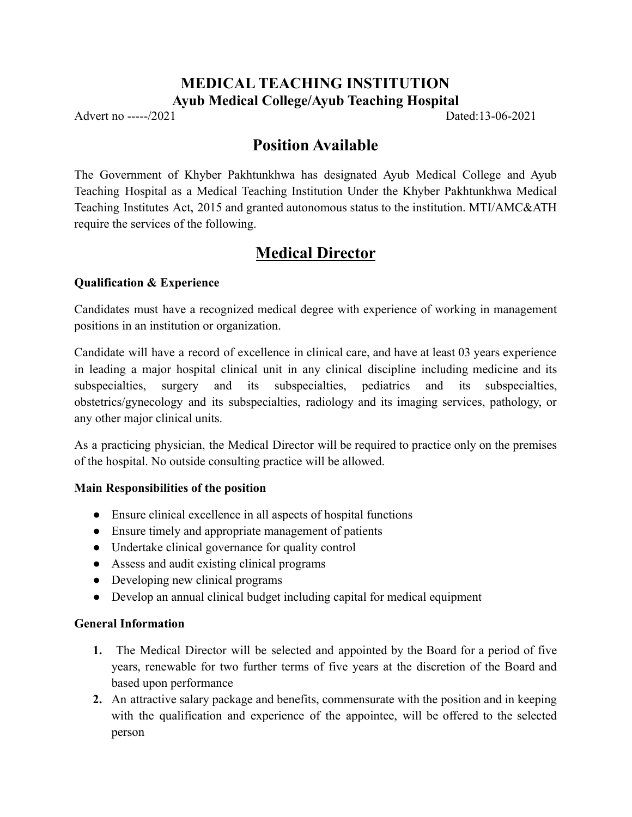### **MEDICAL TEACHING INSTITUTION Ayub Medical College/Ayub Teaching Hospital**

Advert no -----/2021 Dated:13-06-2021

## **Position Available**

The Government of Khyber Pakhtunkhwa has designated Ayub Medical College and Ayub Teaching Hospital as a Medical Teaching Institution Under the Khyber Pakhtunkhwa Medical Teaching Institutes Act, 2015 and granted autonomous status to the institution. MTI/AMC&ATH require the services of the following.

# **Medical Director**

#### **Qualification & Experience**

Candidates must have a recognized medical degree with experience of working in management positions in an institution or organization.

Candidate will have a record of excellence in clinical care, and have at least 03 years experience in leading a major hospital clinical unit in any clinical discipline including medicine and its subspecialties, surgery and its subspecialties, pediatrics and its subspecialties, obstetrics/gynecology and its subspecialties, radiology and its imaging services, pathology, or any other major clinical units.

As a practicing physician, the Medical Director will be required to practice only on the premises of the hospital. No outside consulting practice will be allowed.

#### **Main Responsibilities of the position**

- Ensure clinical excellence in all aspects of hospital functions
- Ensure timely and appropriate management of patients
- Undertake clinical governance for quality control
- Assess and audit existing clinical programs
- Developing new clinical programs
- Develop an annual clinical budget including capital for medical equipment

#### **General Information**

- **1.** The Medical Director will be selected and appointed by the Board for a period of five years, renewable for two further terms of five years at the discretion of the Board and based upon performance
- **2.** An attractive salary package and benefits, commensurate with the position and in keeping with the qualification and experience of the appointee, will be offered to the selected person